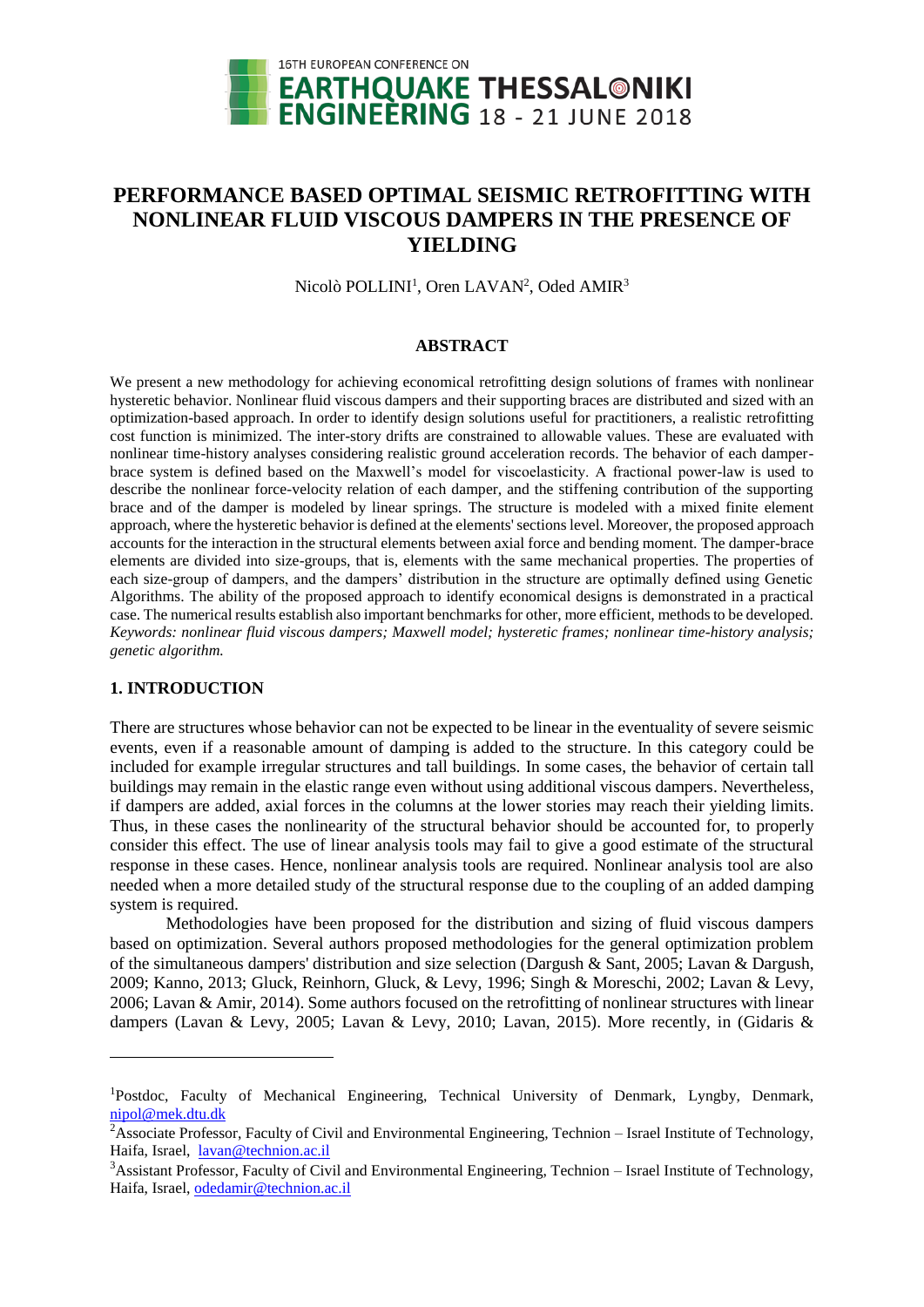

# **PERFORMANCE BASED OPTIMAL SEISMIC RETROFITTING WITH NONLINEAR FLUID VISCOUS DAMPERS IN THE PRESENCE OF YIELDING**

Nicolò POLLINI<sup>1</sup>, Oren LAVAN<sup>2</sup>, Oded AMIR<sup>3</sup>

## **ABSTRACT**

We present a new methodology for achieving economical retrofitting design solutions of frames with nonlinear hysteretic behavior. Nonlinear fluid viscous dampers and their supporting braces are distributed and sized with an optimization-based approach. In order to identify design solutions useful for practitioners, a realistic retrofitting cost function is minimized. The inter-story drifts are constrained to allowable values. These are evaluated with nonlinear time-history analyses considering realistic ground acceleration records. The behavior of each damperbrace system is defined based on the Maxwell's model for viscoelasticity. A fractional power-law is used to describe the nonlinear force-velocity relation of each damper, and the stiffening contribution of the supporting brace and of the damper is modeled by linear springs. The structure is modeled with a mixed finite element approach, where the hysteretic behavior is defined at the elements' sections level. Moreover, the proposed approach accounts for the interaction in the structural elements between axial force and bending moment. The damper-brace elements are divided into size-groups, that is, elements with the same mechanical properties. The properties of each size-group of dampers, and the dampers' distribution in the structure are optimally defined using Genetic Algorithms. The ability of the proposed approach to identify economical designs is demonstrated in a practical case. The numerical results establish also important benchmarks for other, more efficient, methods to be developed. *Keywords: nonlinear fluid viscous dampers; Maxwell model; hysteretic frames; nonlinear time-history analysis; genetic algorithm.*

# **1. INTRODUCTION**

l

There are structures whose behavior can not be expected to be linear in the eventuality of severe seismic events, even if a reasonable amount of damping is added to the structure. In this category could be included for example irregular structures and tall buildings. In some cases, the behavior of certain tall buildings may remain in the elastic range even without using additional viscous dampers. Nevertheless, if dampers are added, axial forces in the columns at the lower stories may reach their yielding limits. Thus, in these cases the nonlinearity of the structural behavior should be accounted for, to properly consider this effect. The use of linear analysis tools may fail to give a good estimate of the structural response in these cases. Hence, nonlinear analysis tools are required. Nonlinear analysis tool are also needed when a more detailed study of the structural response due to the coupling of an added damping system is required.

Methodologies have been proposed for the distribution and sizing of fluid viscous dampers based on optimization. Several authors proposed methodologies for the general optimization problem of the simultaneous dampers' distribution and size selection (Dargush & Sant, 2005; Lavan & Dargush, 2009; Kanno, 2013; Gluck, Reinhorn, Gluck, & Levy, 1996; Singh & Moreschi, 2002; Lavan & Levy, 2006; Lavan & Amir, 2014). Some authors focused on the retrofitting of nonlinear structures with linear dampers (Lavan & Levy, 2005; Lavan & Levy, 2010; Lavan, 2015). More recently, in (Gidaris &

<sup>&</sup>lt;sup>1</sup>Postdoc, Faculty of Mechanical Engineering, Technical University of Denmark, Lyngby, Denmark, [nipol@mek.dtu.dk](mailto:nipol@mek.dtu.dk)

 $2\overline{A}$ ssociate Professor, Faculty of Civil and Environmental Engineering, Technion – Israel Institute of Technology, Haifa, Israel, [lavan@technion.ac.il](mailto:lavan@technion.ac.il) 

<sup>&</sup>lt;sup>3</sup>Assistant Professor, Faculty of Civil and Environmental Engineering, Technion – Israel Institute of Technology, Haifa, Israel, [odedamir@technion.ac.il](mailto:odedamir@technion.ac.il)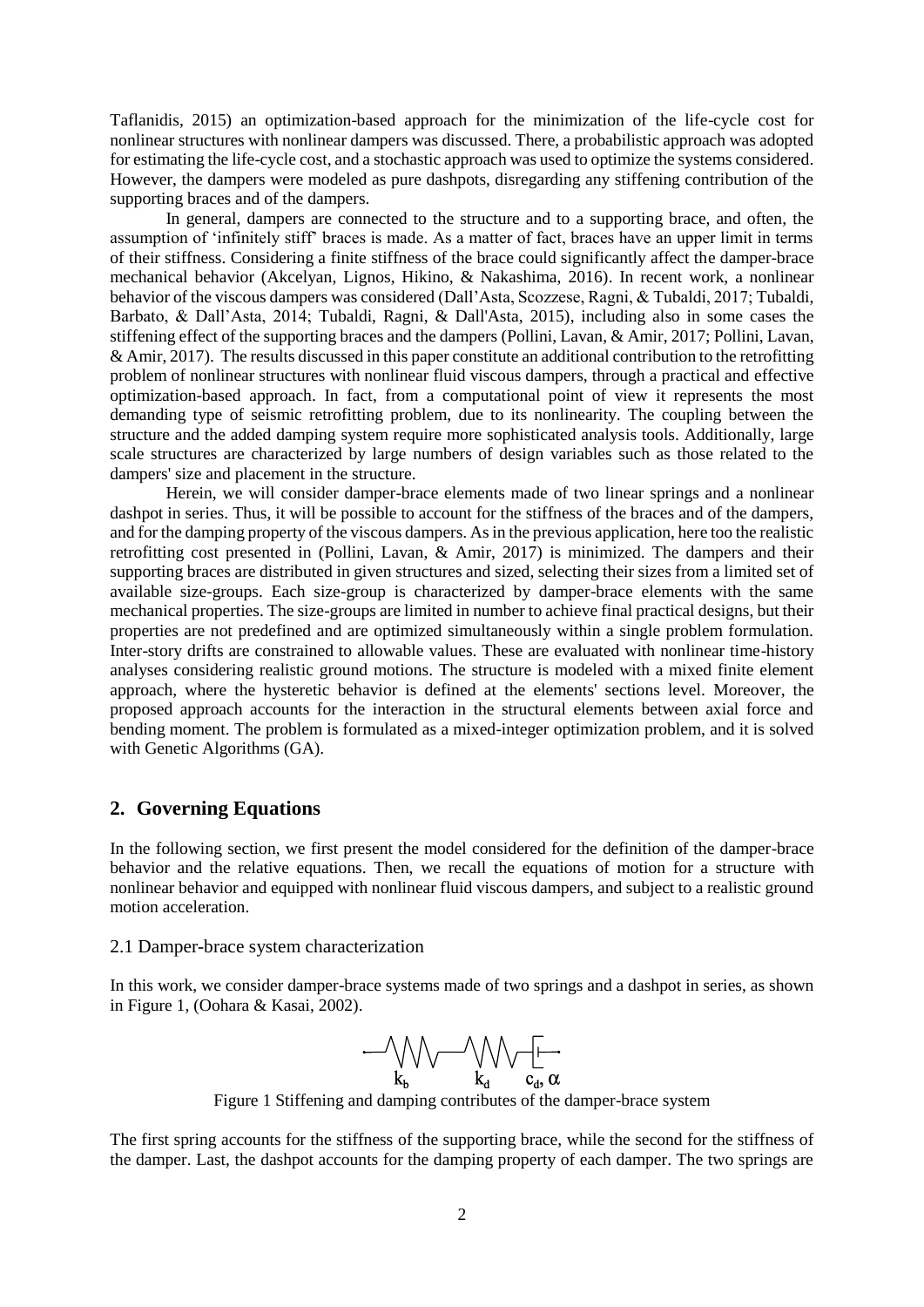Taflanidis, 2015) an optimization-based approach for the minimization of the life-cycle cost for nonlinear structures with nonlinear dampers was discussed. There, a probabilistic approach was adopted for estimating the life-cycle cost, and a stochastic approach was used to optimize the systems considered. However, the dampers were modeled as pure dashpots, disregarding any stiffening contribution of the supporting braces and of the dampers.

In general, dampers are connected to the structure and to a supporting brace, and often, the assumption of 'infinitely stiff' braces is made. As a matter of fact, braces have an upper limit in terms of their stiffness. Considering a finite stiffness of the brace could significantly affect the damper-brace mechanical behavior (Akcelyan, Lignos, Hikino, & Nakashima, 2016). In recent work, a nonlinear behavior of the viscous dampers was considered (Dall'Asta, Scozzese, Ragni, & Tubaldi, 2017; Tubaldi, Barbato, & Dall'Asta, 2014; Tubaldi, Ragni, & Dall'Asta, 2015), including also in some cases the stiffening effect of the supporting braces and the dampers (Pollini, Lavan, & Amir, 2017; Pollini, Lavan, & Amir, 2017). The results discussed in this paper constitute an additional contribution to the retrofitting problem of nonlinear structures with nonlinear fluid viscous dampers, through a practical and effective optimization-based approach. In fact, from a computational point of view it represents the most demanding type of seismic retrofitting problem, due to its nonlinearity. The coupling between the structure and the added damping system require more sophisticated analysis tools. Additionally, large scale structures are characterized by large numbers of design variables such as those related to the dampers' size and placement in the structure.

Herein, we will consider damper-brace elements made of two linear springs and a nonlinear dashpot in series. Thus, it will be possible to account for the stiffness of the braces and of the dampers, and for the damping property of the viscous dampers. As in the previous application, here too the realistic retrofitting cost presented in (Pollini, Lavan, & Amir, 2017) is minimized. The dampers and their supporting braces are distributed in given structures and sized, selecting their sizes from a limited set of available size-groups. Each size-group is characterized by damper-brace elements with the same mechanical properties. The size-groups are limited in number to achieve final practical designs, but their properties are not predefined and are optimized simultaneously within a single problem formulation. Inter-story drifts are constrained to allowable values. These are evaluated with nonlinear time-history analyses considering realistic ground motions. The structure is modeled with a mixed finite element approach, where the hysteretic behavior is defined at the elements' sections level. Moreover, the proposed approach accounts for the interaction in the structural elements between axial force and bending moment. The problem is formulated as a mixed-integer optimization problem, and it is solved with Genetic Algorithms (GA).

# **2. Governing Equations**

In the following section, we first present the model considered for the definition of the damper-brace behavior and the relative equations. Then, we recall the equations of motion for a structure with nonlinear behavior and equipped with nonlinear fluid viscous dampers, and subject to a realistic ground motion acceleration.

## 2.1 Damper-brace system characterization

In this work, we consider damper-brace systems made of two springs and a dashpot in series, as shown in [Figure](#page-1-0) 1, (Oohara & Kasai, 2002).



Figure 1 Stiffening and damping contributes of the damper-brace system

<span id="page-1-0"></span>The first spring accounts for the stiffness of the supporting brace, while the second for the stiffness of the damper. Last, the dashpot accounts for the damping property of each damper. The two springs are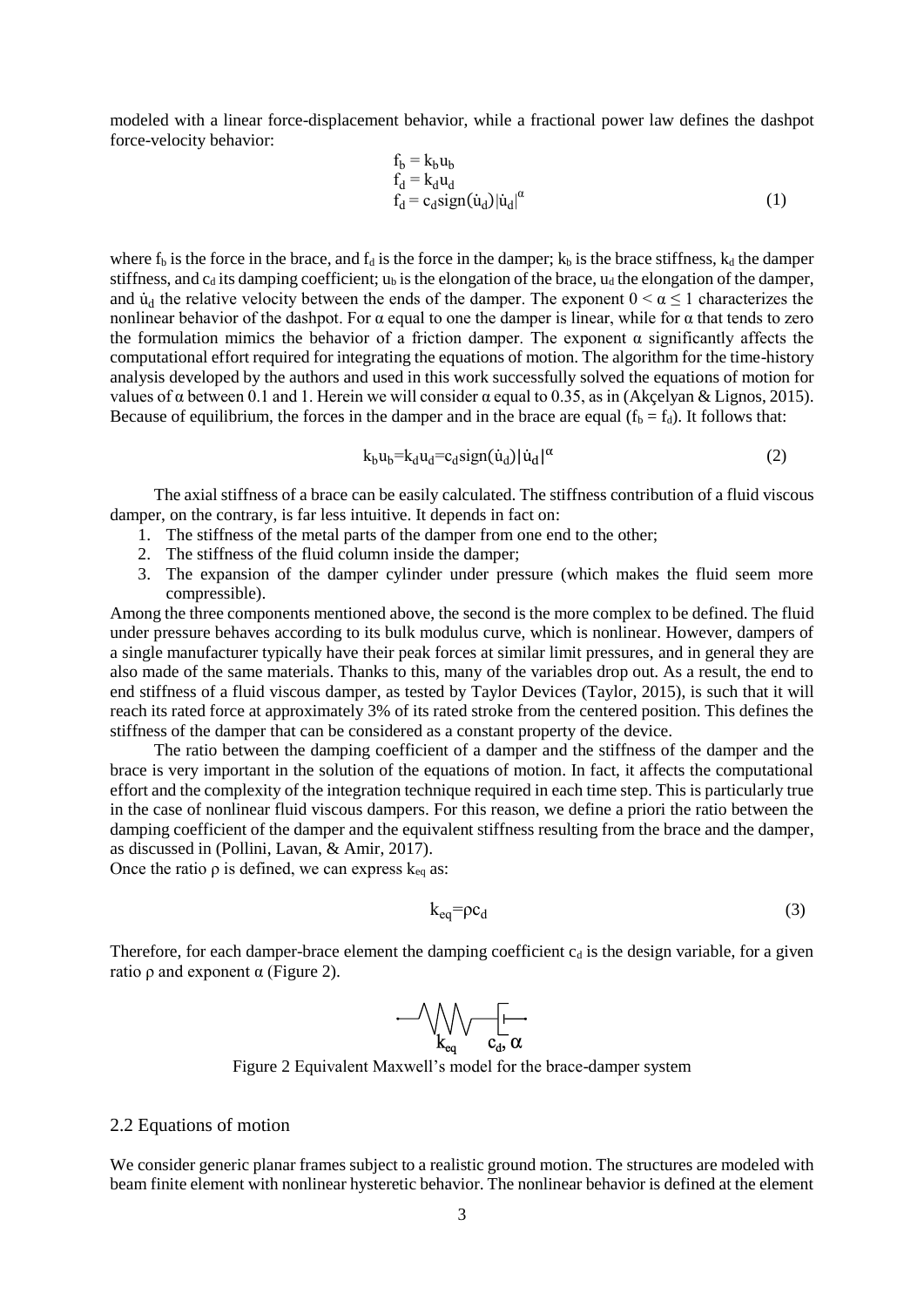modeled with a linear force-displacement behavior, while a fractional power law defines the dashpot force-velocity behavior:

$$
f_b = k_b u_b
$$
  
\n
$$
f_d = k_d u_d
$$
  
\n
$$
f_d = c_d \text{sign}(\dot{u}_d) |\dot{u}_d|^\alpha
$$
\n(1)

where  $f_b$  is the force in the brace, and  $f_d$  is the force in the damper;  $k_b$  is the brace stiffness,  $k_d$  the damper stiffness, and  $c_d$  its damping coefficient;  $u_b$  is the elongation of the brace,  $u_d$  the elongation of the damper, and  $\dot{u}_d$  the relative velocity between the ends of the damper. The exponent  $0 \le \alpha \le 1$  characterizes the nonlinear behavior of the dashpot. For  $\alpha$  equal to one the damper is linear, while for  $\alpha$  that tends to zero the formulation mimics the behavior of a friction damper. The exponent  $\alpha$  significantly affects the computational effort required for integrating the equations of motion. The algorithm for the time-history analysis developed by the authors and used in this work successfully solved the equations of motion for values of α between 0.1 and 1. Herein we will consider α equal to 0.35, as in (Akçelyan & Lignos, 2015). Because of equilibrium, the forces in the damper and in the brace are equal  $(f_b = f_d)$ . It follows that:

$$
k_b u_b = k_d u_d = c_d \text{sign}(\dot{u}_d) |\dot{u}_d|^\alpha \tag{2}
$$

The axial stiffness of a brace can be easily calculated. The stiffness contribution of a fluid viscous damper, on the contrary, is far less intuitive. It depends in fact on:

- 1. The stiffness of the metal parts of the damper from one end to the other;
- 2. The stiffness of the fluid column inside the damper;
- 3. The expansion of the damper cylinder under pressure (which makes the fluid seem more compressible).

Among the three components mentioned above, the second is the more complex to be defined. The fluid under pressure behaves according to its bulk modulus curve, which is nonlinear. However, dampers of a single manufacturer typically have their peak forces at similar limit pressures, and in general they are also made of the same materials. Thanks to this, many of the variables drop out. As a result, the end to end stiffness of a fluid viscous damper, as tested by Taylor Devices (Taylor, 2015), is such that it will reach its rated force at approximately 3% of its rated stroke from the centered position. This defines the stiffness of the damper that can be considered as a constant property of the device.

The ratio between the damping coefficient of a damper and the stiffness of the damper and the brace is very important in the solution of the equations of motion. In fact, it affects the computational effort and the complexity of the integration technique required in each time step. This is particularly true in the case of nonlinear fluid viscous dampers. For this reason, we define a priori the ratio between the damping coefficient of the damper and the equivalent stiffness resulting from the brace and the damper, as discussed in (Pollini, Lavan, & Amir, 2017).

Once the ratio  $\rho$  is defined, we can express  $k_{eq}$  as:

$$
k_{eq} = pc_d \tag{3}
$$

Therefore, for each damper-brace element the damping coefficient  $c_d$  is the design variable, for a given ratio  $ρ$  and exponent  $α$  [\(Figure](#page-2-0) 2).



Figure 2 Equivalent Maxwell's model for the brace-damper system

# <span id="page-2-0"></span>2.2 Equations of motion

We consider generic planar frames subject to a realistic ground motion. The structures are modeled with beam finite element with nonlinear hysteretic behavior. The nonlinear behavior is defined at the element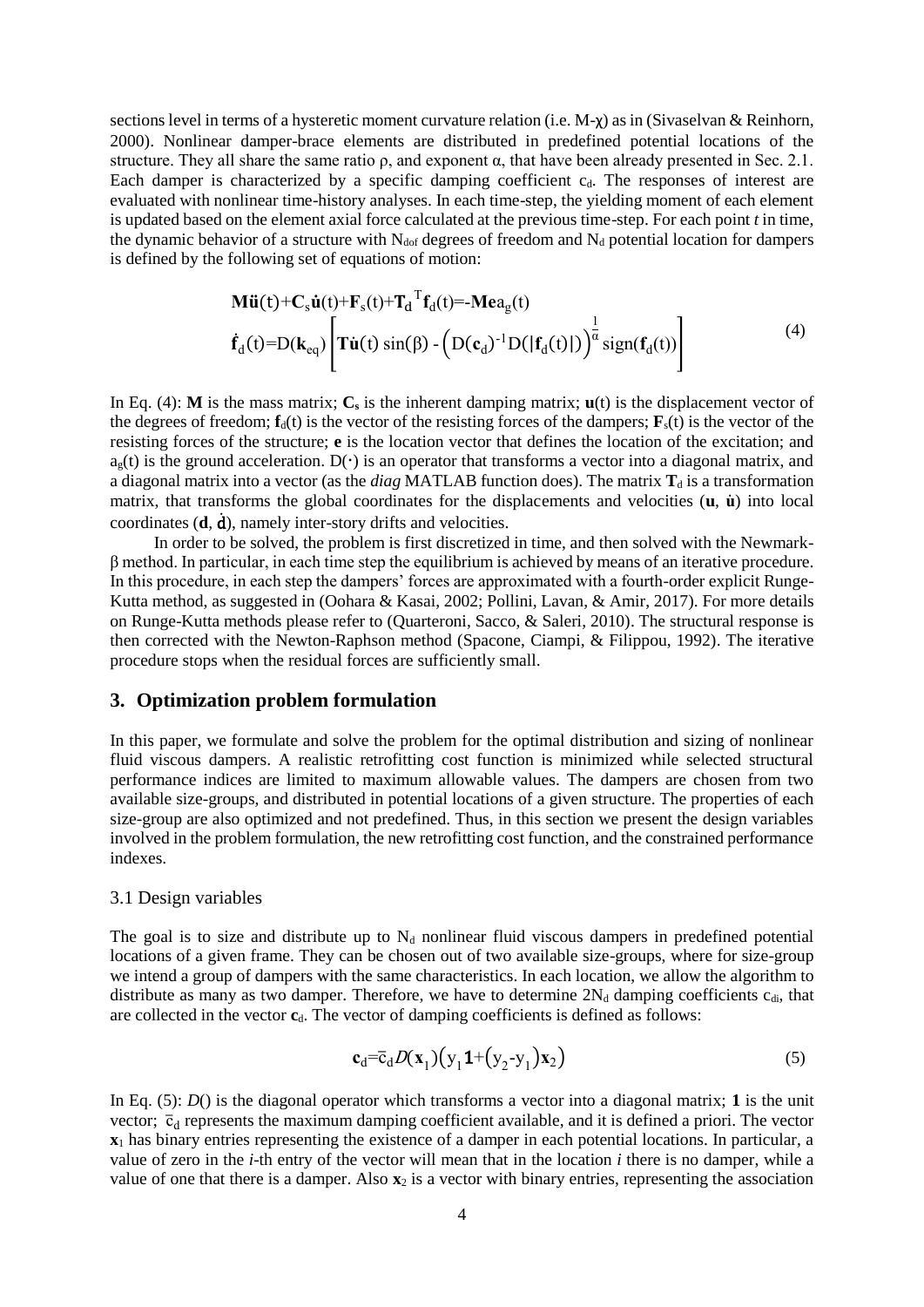sections level in terms of a hysteretic moment curvature relation (i.e. M-χ) as in (Sivaselvan & Reinhorn, 2000). Nonlinear damper-brace elements are distributed in predefined potential locations of the structure. They all share the same ratio  $\rho$ , and exponent  $\alpha$ , that have been already presented in Sec. 2.1. Each damper is characterized by a specific damping coefficient  $c_d$ . The responses of interest are evaluated with nonlinear time-history analyses. In each time-step, the yielding moment of each element is updated based on the element axial force calculated at the previous time-step. For each point *t* in time, the dynamic behavior of a structure with  $N_{\text{dof}}$  degrees of freedom and  $N_{\text{d}}$  potential location for dampers is defined by the following set of equations of motion:

<span id="page-3-0"></span>
$$
\mathbf{M}\ddot{\mathbf{u}}(t) + \mathbf{C}_s \dot{\mathbf{u}}(t) + \mathbf{F}_s(t) + \mathbf{T}_d^T \mathbf{f}_d(t) = -\mathbf{M} \mathbf{e} a_g(t)
$$
\n
$$
\dot{\mathbf{f}}_d(t) = D(\mathbf{k}_{eq}) \left[ \mathbf{T} \dot{\mathbf{u}}(t) \sin(\beta) - \left( D(\mathbf{c}_d)^{-1} D(|\mathbf{f}_d(t)|) \right)^{\frac{1}{\alpha}} \text{sign}(\mathbf{f}_d(t)) \right]
$$
\n(4)

In Eq. [\(4\):](#page-3-0) **M** is the mass matrix;  $C_s$  is the inherent damping matrix;  $\mathbf{u}(t)$  is the displacement vector of the degrees of freedom;  $\mathbf{f}_d(t)$  is the vector of the resisting forces of the dampers;  $\mathbf{F}_s(t)$  is the vector of the resisting forces of the structure; **e** is the location vector that defines the location of the excitation; and  $a<sub>g</sub>(t)$  is the ground acceleration. D( $\cdot$ ) is an operator that transforms a vector into a diagonal matrix, and a diagonal matrix into a vector (as the *diag* MATLAB function does). The matrix  $T_d$  is a transformation matrix, that transforms the global coordinates for the displacements and velocities (**u**, **u**̇) into local coordinates (**d**, ḋ), namely inter-story drifts and velocities.

In order to be solved, the problem is first discretized in time, and then solved with the Newmarkβ method. In particular, in each time step the equilibrium is achieved by means of an iterative procedure. In this procedure, in each step the dampers' forces are approximated with a fourth-order explicit Runge-Kutta method, as suggested in (Oohara & Kasai, 2002; Pollini, Lavan, & Amir, 2017). For more details on Runge-Kutta methods please refer to (Quarteroni, Sacco, & Saleri, 2010). The structural response is then corrected with the Newton-Raphson method (Spacone, Ciampi, & Filippou, 1992). The iterative procedure stops when the residual forces are sufficiently small.

# **3. Optimization problem formulation**

In this paper, we formulate and solve the problem for the optimal distribution and sizing of nonlinear fluid viscous dampers. A realistic retrofitting cost function is minimized while selected structural performance indices are limited to maximum allowable values. The dampers are chosen from two available size-groups, and distributed in potential locations of a given structure. The properties of each size-group are also optimized and not predefined. Thus, in this section we present the design variables involved in the problem formulation, the new retrofitting cost function, and the constrained performance indexes.

#### 3.1 Design variables

The goal is to size and distribute up to  $N_d$  nonlinear fluid viscous dampers in predefined potential locations of a given frame. They can be chosen out of two available size-groups, where for size-group we intend a group of dampers with the same characteristics. In each location, we allow the algorithm to distribute as many as two damper. Therefore, we have to determine  $2N_d$  damping coefficients  $c_{di}$ , that are collected in the vector **c**<sub>d</sub>. The vector of damping coefficients is defined as follows:

<span id="page-3-1"></span>
$$
\mathbf{c}_{d} = \overline{\mathbf{c}}_{d} D(\mathbf{x}_{1}) \big( \mathbf{y}_{1} \mathbf{1} + (\mathbf{y}_{2} - \mathbf{y}_{1}) \mathbf{x}_{2} \big) \tag{5}
$$

In Eq. [\(5\)](#page-3-1): *D*() is the diagonal operator which transforms a vector into a diagonal matrix; **1** is the unit vector;  $\bar{c}_d$  represents the maximum damping coefficient available, and it is defined a priori. The vector **x**<sup>1</sup> has binary entries representing the existence of a damper in each potential locations. In particular, a value of zero in the *i*-th entry of the vector will mean that in the location *i* there is no damper, while a value of one that there is a damper. Also  $\mathbf{x}_2$  is a vector with binary entries, representing the association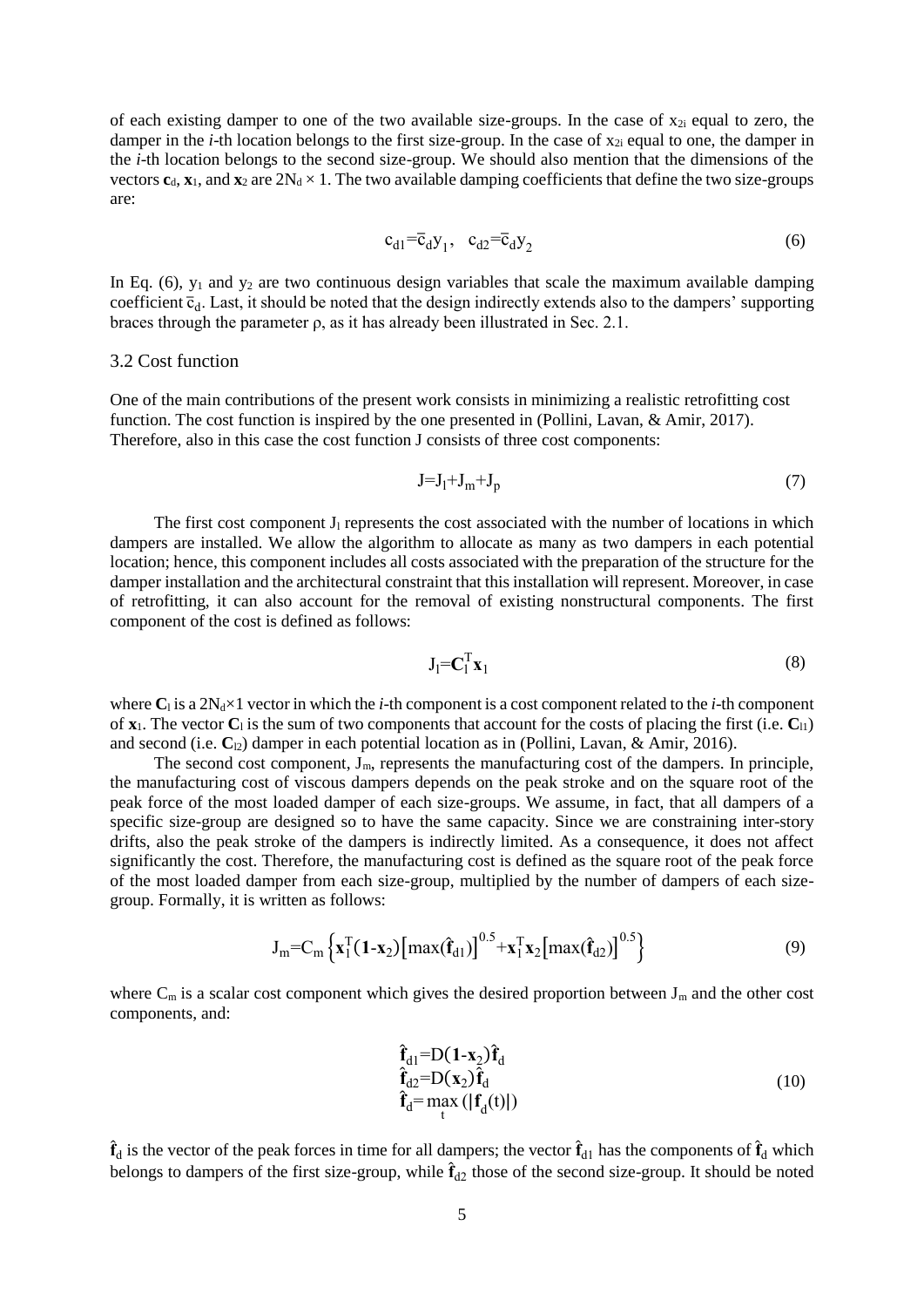of each existing damper to one of the two available size-groups. In the case of  $x_{2i}$  equal to zero, the damper in the *i*-th location belongs to the first size-group. In the case of  $x_{2i}$  equal to one, the damper in the *i*-th location belongs to the second size-group. We should also mention that the dimensions of the vectors  $c_d$ ,  $\mathbf{x}_1$ , and  $\mathbf{x}_2$  are  $2N_d \times 1$ . The two available damping coefficients that define the two size-groups are:

<span id="page-4-0"></span>
$$
c_{d1} = \overline{c}_d y_1, \quad c_{d2} = \overline{c}_d y_2 \tag{6}
$$

In Eq.  $(6)$ ,  $y_1$  and  $y_2$  are two continuous design variables that scale the maximum available damping coefficient  $\bar{c}_d$ . Last, it should be noted that the design indirectly extends also to the dampers' supporting braces through the parameter ρ, as it has already been illustrated in Sec. 2.1.

#### 3.2 Cost function

One of the main contributions of the present work consists in minimizing a realistic retrofitting cost function. The cost function is inspired by the one presented in (Pollini, Lavan, & Amir, 2017). Therefore, also in this case the cost function J consists of three cost components:

$$
J=J_1+J_m+J_p\tag{7}
$$

The first cost component  $J_1$  represents the cost associated with the number of locations in which dampers are installed. We allow the algorithm to allocate as many as two dampers in each potential location; hence, this component includes all costs associated with the preparation of the structure for the damper installation and the architectural constraint that this installation will represent. Moreover, in case of retrofitting, it can also account for the removal of existing nonstructural components. The first component of the cost is defined as follows:

$$
\mathbf{J}_1 = \mathbf{C}_1^{\mathrm{T}} \mathbf{x}_1 \tag{8}
$$

where  $C_1$  is a  $2N_d \times 1$  vector in which the *i*-th component is a cost component related to the *i*-th component of  $\mathbf{x}_1$ . The vector  $\mathbf{C}_1$  is the sum of two components that account for the costs of placing the first (i.e.  $\mathbf{C}_{11}$ ) and second (i.e.  $C_2$ ) damper in each potential location as in (Pollini, Lavan, & Amir, 2016).

The second cost component,  $J_m$ , represents the manufacturing cost of the dampers. In principle, the manufacturing cost of viscous dampers depends on the peak stroke and on the square root of the peak force of the most loaded damper of each size-groups. We assume, in fact, that all dampers of a specific size-group are designed so to have the same capacity. Since we are constraining inter-story drifts, also the peak stroke of the dampers is indirectly limited. As a consequence, it does not affect significantly the cost. Therefore, the manufacturing cost is defined as the square root of the peak force of the most loaded damper from each size-group, multiplied by the number of dampers of each sizegroup. Formally, it is written as follows:

$$
J_{m} = C_{m} \left\{ \mathbf{x}_{1}^{T} (1-\mathbf{x}_{2}) \left[ \max(\hat{\mathbf{f}}_{d1}) \right]^{0.5} + \mathbf{x}_{1}^{T} \mathbf{x}_{2} \left[ \max(\hat{\mathbf{f}}_{d2}) \right]^{0.5} \right\}
$$
(9)

where  $C_m$  is a scalar cost component which gives the desired proportion between  $J_m$  and the other cost components, and:

<span id="page-4-2"></span><span id="page-4-1"></span>
$$
\hat{\mathbf{f}}_{d1} = D(\mathbf{1} - \mathbf{x}_2) \hat{\mathbf{f}}_d \n\hat{\mathbf{f}}_{d2} = D(\mathbf{x}_2) \hat{\mathbf{f}}_d \n\hat{\mathbf{f}}_d = \max_t (|\mathbf{f}_d(t)|)
$$
\n(10)

 $\hat{f}_d$  is the vector of the peak forces in time for all dampers; the vector  $\hat{f}_{d1}$  has the components of  $\hat{f}_d$  which belongs to dampers of the first size-group, while  $\hat{f}_{d2}$  those of the second size-group. It should be noted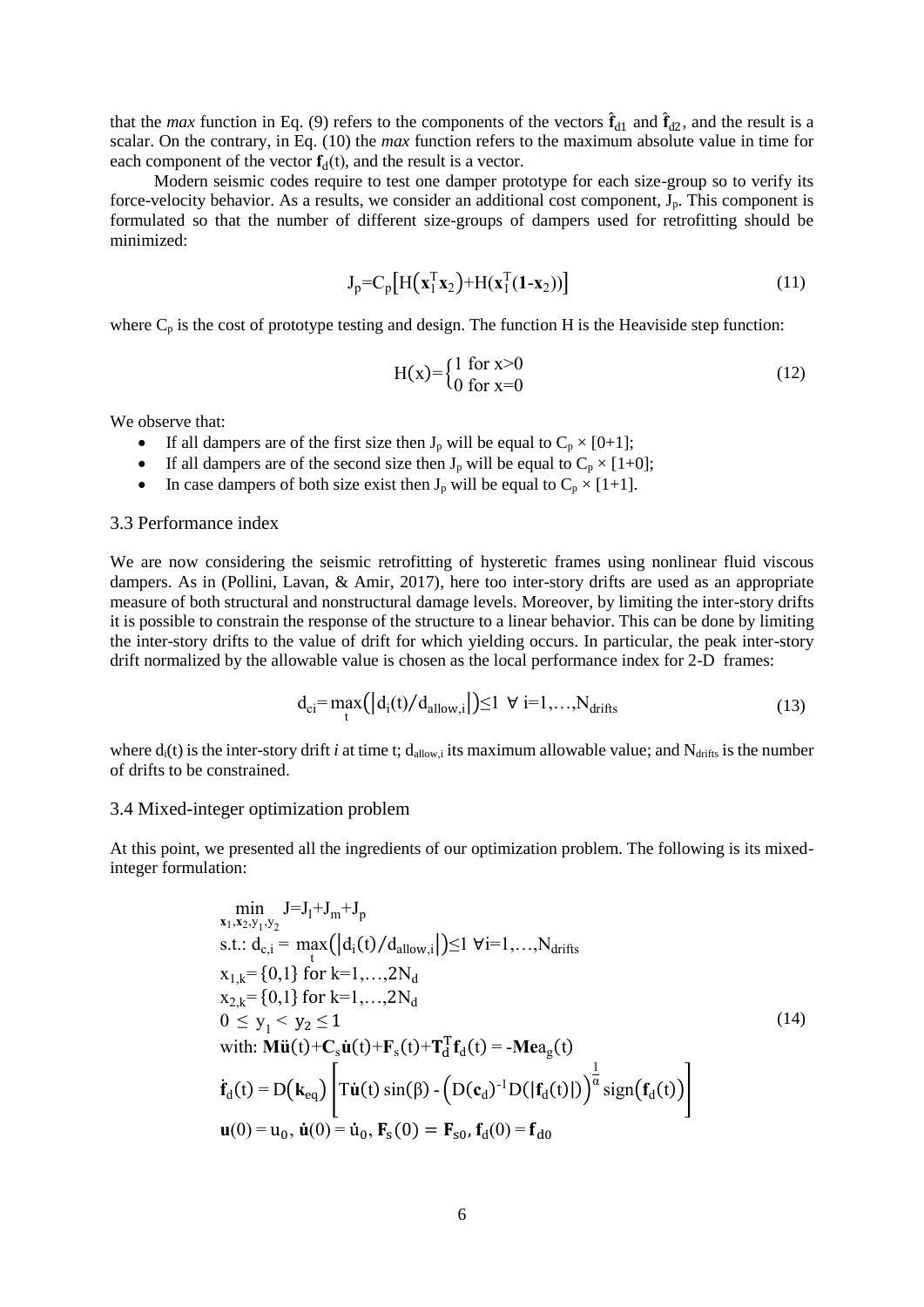that the *max* function in Eq. [\(9\)](#page-4-1) refers to the components of the vectors  $\hat{\mathbf{f}}_{d1}$  and  $\hat{\mathbf{f}}_{d2}$ , and the result is a scalar. On the contrary, in Eq. [\(10\)](#page-4-2) the *max* function refers to the maximum absolute value in time for each component of the vector  $f_d(t)$ , and the result is a vector.

Modern seismic codes require to test one damper prototype for each size-group so to verify its force-velocity behavior. As a results, we consider an additional cost component,  $J_p$ . This component is formulated so that the number of different size-groups of dampers used for retrofitting should be minimized:

$$
\mathbf{J}_{\mathbf{p}} = \mathbf{C}_{\mathbf{p}} \left[ \mathbf{H} \left( \mathbf{x}_1^{\mathrm{T}} \mathbf{x}_2 \right) + \mathbf{H} \left( \mathbf{x}_1^{\mathrm{T}} \left( \mathbf{1} - \mathbf{x}_2 \right) \right) \right] \tag{11}
$$

where  $C_p$  is the cost of prototype testing and design. The function H is the Heaviside step function:

$$
H(x) = \begin{cases} 1 & \text{for } x > 0 \\ 0 & \text{for } x = 0 \end{cases}
$$
 (12)

We observe that:

- If all dampers are of the first size then  $J_p$  will be equal to  $C_p \times [0+1]$ ;
- If all dampers are of the second size then  $J_p$  will be equal to  $C_p \times [1+0]$ ;
- In case dampers of both size exist then  $J_p$  will be equal to  $C_p \times [1+1]$ .

# 3.3 Performance index

We are now considering the seismic retrofitting of hysteretic frames using nonlinear fluid viscous dampers. As in (Pollini, Lavan, & Amir, 2017), here too inter-story drifts are used as an appropriate measure of both structural and nonstructural damage levels. Moreover, by limiting the inter-story drifts it is possible to constrain the response of the structure to a linear behavior. This can be done by limiting the inter-story drifts to the value of drift for which yielding occurs. In particular, the peak inter-story drift normalized by the allowable value is chosen as the local performance index for 2-D frames:

$$
d_{ci} = \max_{t} (|d_i(t)/d_{\text{allow,i}}|) \le 1 \ \forall i=1,\dots,N_{\text{drifts}} \tag{13}
$$

where  $d_i(t)$  is the inter-story drift *i* at time t;  $d_{\text{allow}}$  its maximum allowable value; and  $N_{\text{drifts}}$  is the number of drifts to be constrained.

#### 3.4 Mixed-integer optimization problem

At this point, we presented all the ingredients of our optimization problem. The following is its mixedinteger formulation:

<span id="page-5-0"></span>
$$
\min_{\mathbf{x}_1, \mathbf{x}_2, \mathbf{y}_1, \mathbf{y}_2} J = J_1 + J_m + J_p
$$
\ns.t.:  $d_{c,i} = \max_{t} (|d_i(t)/d_{\text{allow},i}|) \le 1 \forall i=1,...,N_{\text{drifts}}$   
\n
$$
x_{1,k} = \{0,1\} \text{ for } k=1,...,2N_d
$$
\n
$$
x_{2,k} = \{0,1\} \text{ for } k=1,...,2N_d
$$
\n
$$
0 \le y_1 < y_2 \le 1
$$
\nwith:  $\text{Mü}(t) + C_s \dot{\mathbf{u}}(t) + \mathbf{F}_s(t) + \mathbf{T}_d^T \mathbf{f}_d(t) = -\text{Mea}_g(t)$   
\n
$$
\dot{\mathbf{f}}_d(t) = D(\mathbf{k}_{eq}) \left[ \text{T}\dot{\mathbf{u}}(t) \sin(\beta) - \left( D(\mathbf{c}_d)^{-1} D(|\mathbf{f}_d(t)|) \right)^{\frac{1}{\alpha}} \text{sign}(\mathbf{f}_d(t)) \right]
$$
\n
$$
\mathbf{u}(0) = \mathbf{u}_0, \dot{\mathbf{u}}(0) = \dot{\mathbf{u}}_0, \mathbf{F}_s(0) = \mathbf{F}_{s0}, \mathbf{f}_d(0) = \mathbf{f}_{d0}
$$
\n(14)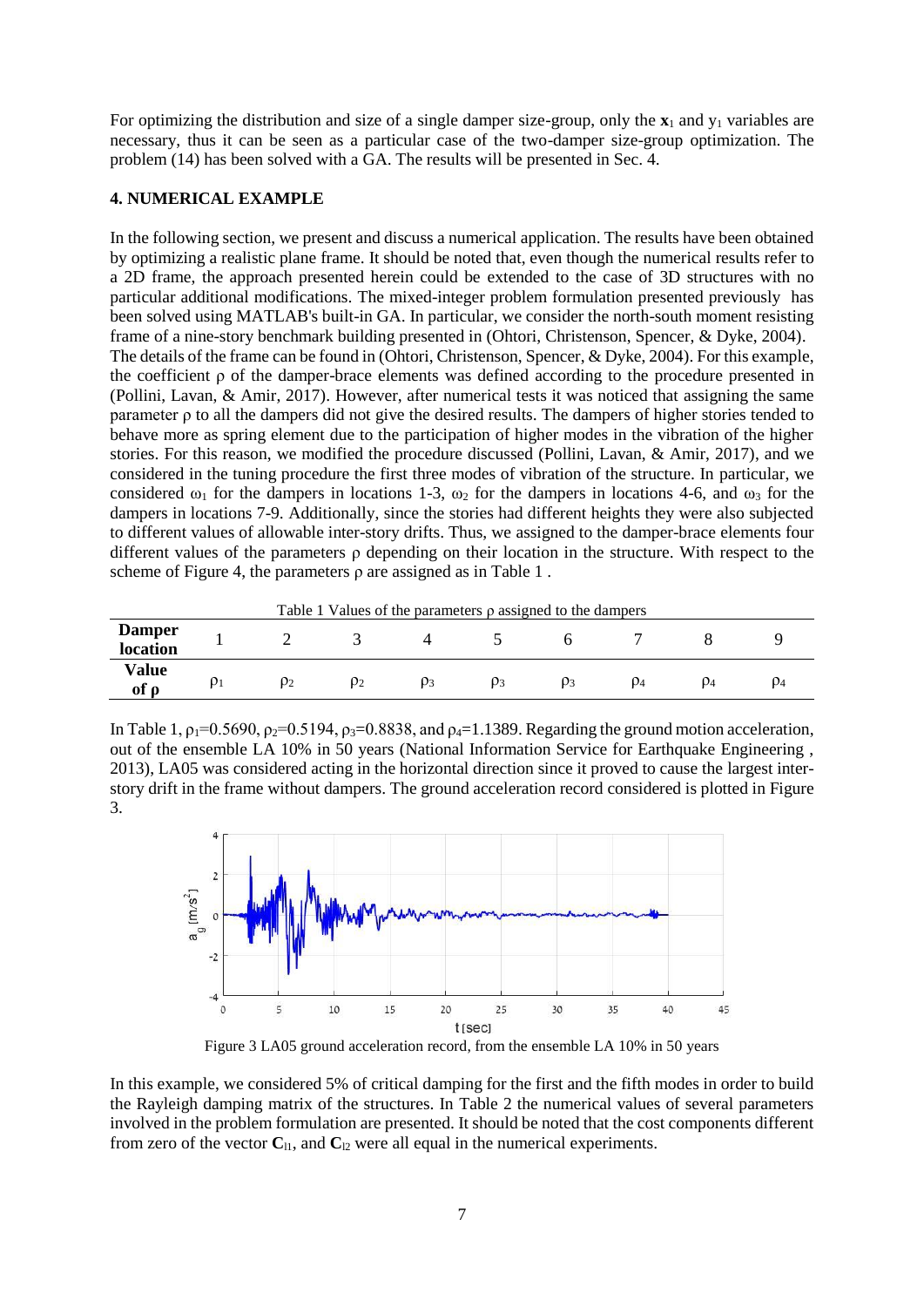For optimizing the distribution and size of a single damper size-group, only the  $\mathbf{x}_1$  and  $\mathbf{y}_1$  variables are necessary, thus it can be seen as a particular case of the two-damper size-group optimization. The problem [\(14\)](#page-5-0) has been solved with a GA. The results will be presented in Sec. 4.

# **4. NUMERICAL EXAMPLE**

In the following section, we present and discuss a numerical application. The results have been obtained by optimizing a realistic plane frame. It should be noted that, even though the numerical results refer to a 2D frame, the approach presented herein could be extended to the case of 3D structures with no particular additional modifications. The mixed-integer problem formulation presented previously has been solved using MATLAB's built-in GA. In particular, we consider the north-south moment resisting frame of a nine-story benchmark building presented in (Ohtori, Christenson, Spencer, & Dyke, 2004). The details of the frame can be found in (Ohtori, Christenson, Spencer, & Dyke, 2004). For this example, the coefficient  $\rho$  of the damper-brace elements was defined according to the procedure presented in (Pollini, Lavan, & Amir, 2017). However, after numerical tests it was noticed that assigning the same parameter ρ to all the dampers did not give the desired results. The dampers of higher stories tended to behave more as spring element due to the participation of higher modes in the vibration of the higher stories. For this reason, we modified the procedure discussed (Pollini, Lavan, & Amir, 2017), and we considered in the tuning procedure the first three modes of vibration of the structure. In particular, we considered  $\omega_1$  for the dampers in locations 1-3,  $\omega_2$  for the dampers in locations 4-6, and  $\omega_3$  for the dampers in locations 7-9. Additionally, since the stories had different heights they were also subjected to different values of allowable inter-story drifts. Thus, we assigned to the damper-brace elements four different values of the parameters ρ depending on their location in the structure. With respect to the scheme of [Figure 4,](#page-7-0) the parameters ρ are assigned as in [Table 1](#page-6-0) .

<span id="page-6-0"></span>

| Table 1 Values of the parameters $\rho$ assigned to the dampers |          |    |    |  |    |    |    |    |    |  |  |
|-----------------------------------------------------------------|----------|----|----|--|----|----|----|----|----|--|--|
| <b>Damper</b><br>location                                       |          |    |    |  |    |    |    |    |    |  |  |
| Value<br>of o                                                   | $\rho_1$ | ρ2 | ρ2 |  | P3 | P3 | Q4 | D4 | P4 |  |  |

In [Table 1,](#page-6-0)  $p_1=0.5690$ ,  $p_2=0.5194$ ,  $p_3=0.8838$ , and  $p_4=1.1389$ . Regarding the ground motion acceleration, out of the ensemble LA 10% in 50 years (National Information Service for Earthquake Engineering , 2013), LA05 was considered acting in the horizontal direction since it proved to cause the largest interstory drift in the frame without dampers. The ground acceleration record considered is plotted in [Figure](#page-6-1)  [3.](#page-6-1)



Figure 3 LA05 ground acceleration record, from the ensemble LA 10% in 50 years

<span id="page-6-1"></span>In this example, we considered 5% of critical damping for the first and the fifth modes in order to build the Rayleigh damping matrix of the structures. In [Table 2](#page-7-1) the numerical values of several parameters involved in the problem formulation are presented. It should be noted that the cost components different from zero of the vector  $\mathbf{C}_{11}$ , and  $\mathbf{C}_{12}$  were all equal in the numerical experiments.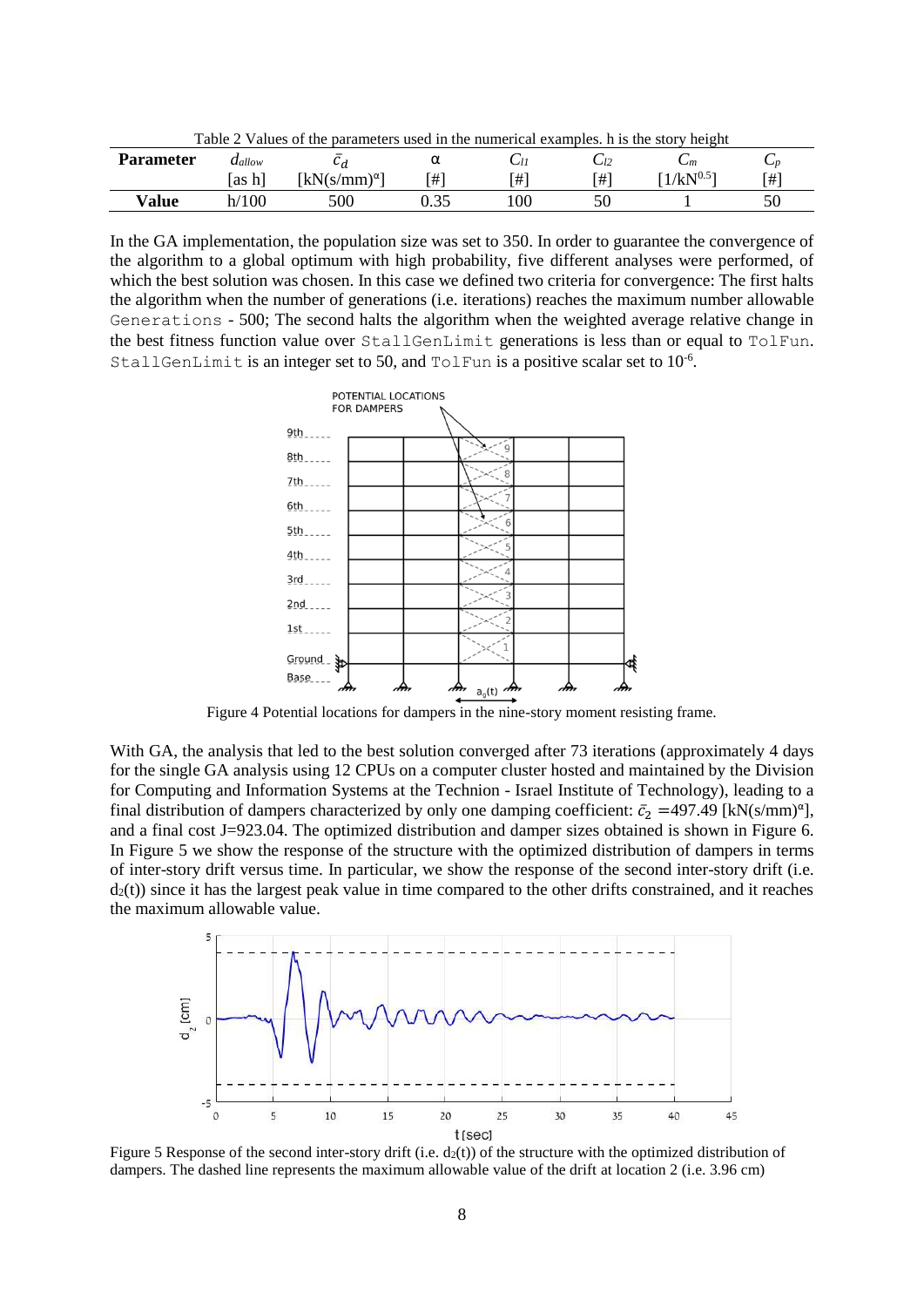<span id="page-7-1"></span>

| Table 2 Values of the parameters used in the numerical examples. h is the story height |                |                                                    |  |    |    |                |    |  |  |  |  |
|----------------------------------------------------------------------------------------|----------------|----------------------------------------------------|--|----|----|----------------|----|--|--|--|--|
| <b>Parameter</b>                                                                       | $a_{allow}$    |                                                    |  |    |    | $- m$          | ◡╖ |  |  |  |  |
|                                                                                        | [as h]         | $\left[\mathrm{kN}(s/\mathrm{mm})^{\alpha}\right]$ |  | ו# | 「# | $1/kN^{0.5}$ ] | 「# |  |  |  |  |
| Value                                                                                  | $^{\prime}100$ | 500                                                |  | 00 |    |                |    |  |  |  |  |

In the GA implementation, the population size was set to 350. In order to guarantee the convergence of the algorithm to a global optimum with high probability, five different analyses were performed, of which the best solution was chosen. In this case we defined two criteria for convergence: The first halts the algorithm when the number of generations (i.e. iterations) reaches the maximum number allowable Generations - 500; The second halts the algorithm when the weighted average relative change in the best fitness function value over StallGenLimit generations is less than or equal to TolFun. StallGenLimit is an integer set to 50, and TolFun is a positive scalar set to  $10^{-6}$ .



Figure 4 Potential locations for dampers in the nine-story moment resisting frame.

<span id="page-7-0"></span>With GA, the analysis that led to the best solution converged after 73 iterations (approximately 4 days for the single GA analysis using 12 CPUs on a computer cluster hosted and maintained by the Division for Computing and Information Systems at the Technion - Israel Institute of Technology), leading to a final distribution of dampers characterized by only one damping coefficient:  $\bar{c}_2$  =497.49 [kN(s/mm)<sup>a</sup>], and a final cost J=923.04. The optimized distribution and damper sizes obtained is shown in [Figure 6.](#page-8-0) In [Figure 5](#page-7-2) we show the response of the structure with the optimized distribution of dampers in terms of inter-story drift versus time. In particular, we show the response of the second inter-story drift (i.e.  $d_2(t)$ ) since it has the largest peak value in time compared to the other drifts constrained, and it reaches the maximum allowable value.



<span id="page-7-2"></span>Figure 5 Response of the second inter-story drift (i.e.  $d_2(t)$ ) of the structure with the optimized distribution of dampers. The dashed line represents the maximum allowable value of the drift at location 2 (i.e. 3.96 cm)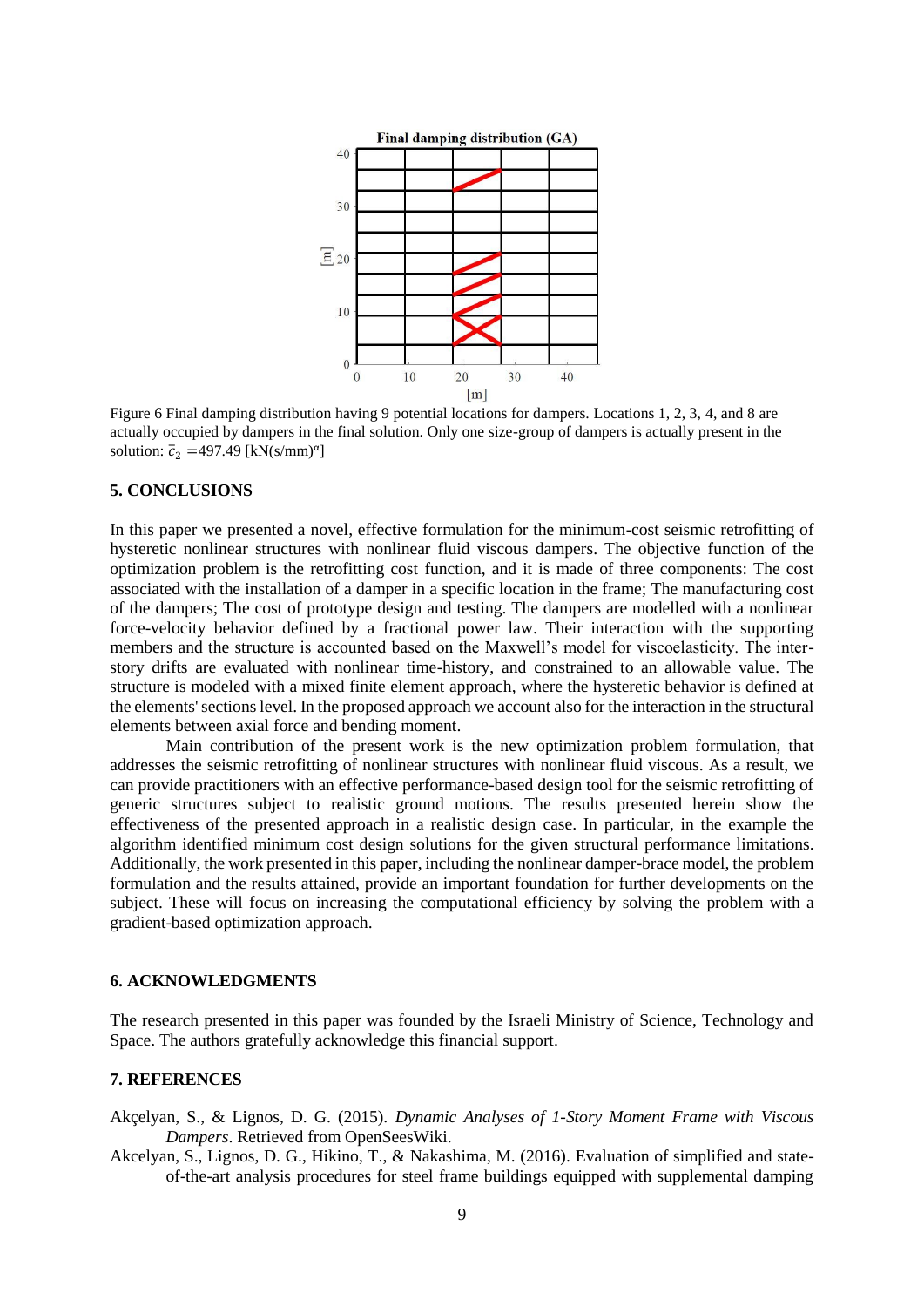

<span id="page-8-0"></span>Figure 6 Final damping distribution having 9 potential locations for dampers. Locations 1, 2, 3, 4, and 8 are actually occupied by dampers in the final solution. Only one size-group of dampers is actually present in the solution:  $\bar{c}_2$  =497.49 [kN(s/mm)<sup> $\alpha$ </sup>]

# **5. CONCLUSIONS**

In this paper we presented a novel, effective formulation for the minimum-cost seismic retrofitting of hysteretic nonlinear structures with nonlinear fluid viscous dampers. The objective function of the optimization problem is the retrofitting cost function, and it is made of three components: The cost associated with the installation of a damper in a specific location in the frame; The manufacturing cost of the dampers; The cost of prototype design and testing. The dampers are modelled with a nonlinear force-velocity behavior defined by a fractional power law. Their interaction with the supporting members and the structure is accounted based on the Maxwell's model for viscoelasticity. The interstory drifts are evaluated with nonlinear time-history, and constrained to an allowable value. The structure is modeled with a mixed finite element approach, where the hysteretic behavior is defined at the elements' sections level. In the proposed approach we account also for the interaction in the structural elements between axial force and bending moment.

Main contribution of the present work is the new optimization problem formulation, that addresses the seismic retrofitting of nonlinear structures with nonlinear fluid viscous. As a result, we can provide practitioners with an effective performance-based design tool for the seismic retrofitting of generic structures subject to realistic ground motions. The results presented herein show the effectiveness of the presented approach in a realistic design case. In particular, in the example the algorithm identified minimum cost design solutions for the given structural performance limitations. Additionally, the work presented in this paper, including the nonlinear damper-brace model, the problem formulation and the results attained, provide an important foundation for further developments on the subject. These will focus on increasing the computational efficiency by solving the problem with a gradient-based optimization approach.

# **6. ACKNOWLEDGMENTS**

The research presented in this paper was founded by the Israeli Ministry of Science, Technology and Space. The authors gratefully acknowledge this financial support.

# **7. REFERENCES**

- Akçelyan, S., & Lignos, D. G. (2015). *Dynamic Analyses of 1-Story Moment Frame with Viscous Dampers*. Retrieved from OpenSeesWiki.
- Akcelyan, S., Lignos, D. G., Hikino, T., & Nakashima, M. (2016). Evaluation of simplified and stateof-the-art analysis procedures for steel frame buildings equipped with supplemental damping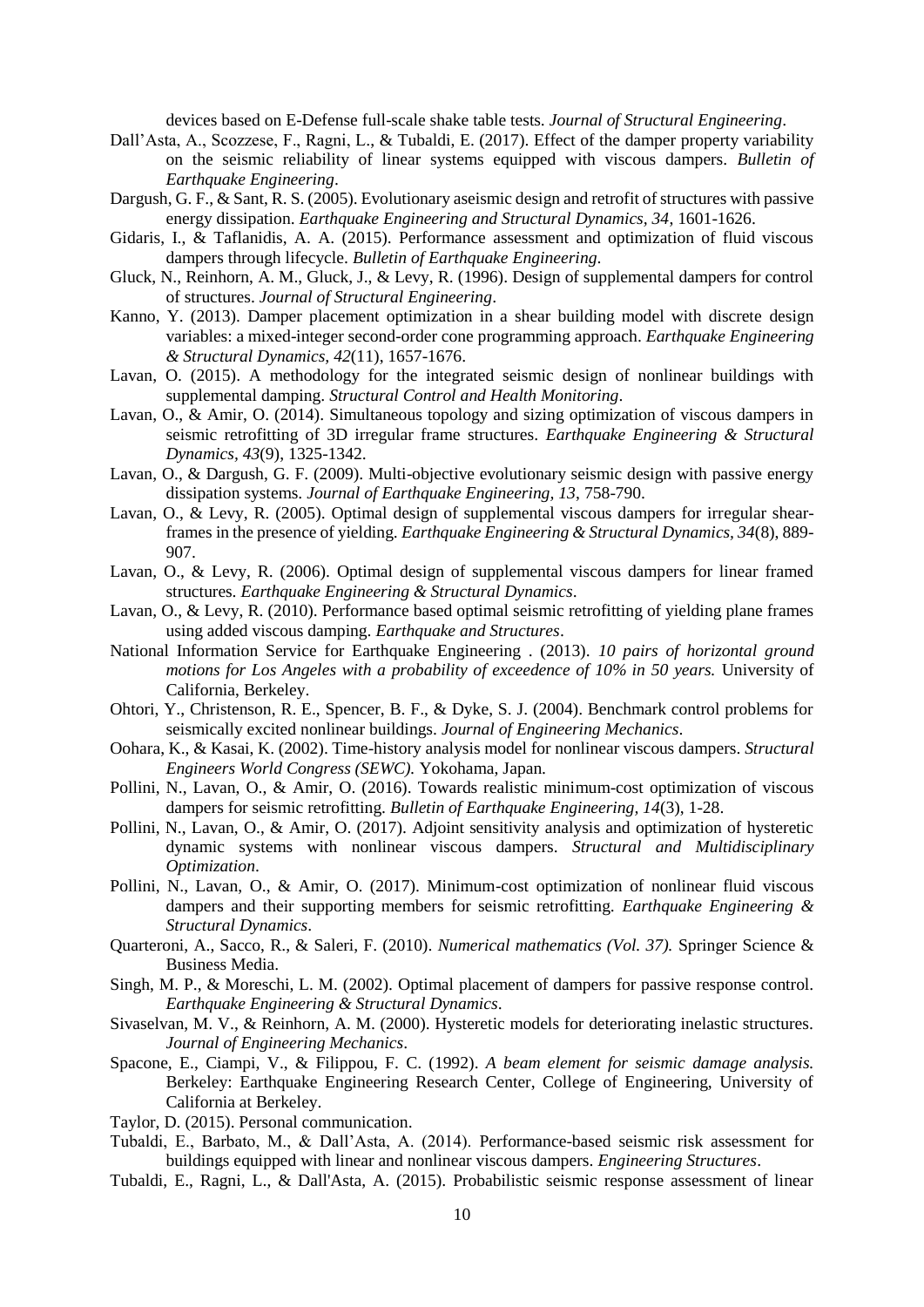devices based on E-Defense full-scale shake table tests. *Journal of Structural Engineering*.

- Dall'Asta, A., Scozzese, F., Ragni, L., & Tubaldi, E. (2017). Effect of the damper property variability on the seismic reliability of linear systems equipped with viscous dampers. *Bulletin of Earthquake Engineering*.
- Dargush, G. F., & Sant, R. S. (2005). Evolutionary aseismic design and retrofit of structures with passive energy dissipation. *Earthquake Engineering and Structural Dynamics, 34*, 1601-1626.
- Gidaris, I., & Taflanidis, A. A. (2015). Performance assessment and optimization of fluid viscous dampers through lifecycle. *Bulletin of Earthquake Engineering*.
- Gluck, N., Reinhorn, A. M., Gluck, J., & Levy, R. (1996). Design of supplemental dampers for control of structures. *Journal of Structural Engineering*.
- Kanno, Y. (2013). Damper placement optimization in a shear building model with discrete design variables: a mixed-integer second-order cone programming approach. *Earthquake Engineering & Structural Dynamics, 42*(11), 1657-1676.
- Lavan, O. (2015). A methodology for the integrated seismic design of nonlinear buildings with supplemental damping. *Structural Control and Health Monitoring*.
- Lavan, O., & Amir, O. (2014). Simultaneous topology and sizing optimization of viscous dampers in seismic retrofitting of 3D irregular frame structures. *Earthquake Engineering & Structural Dynamics, 43*(9), 1325-1342.
- Lavan, O., & Dargush, G. F. (2009). Multi-objective evolutionary seismic design with passive energy dissipation systems. *Journal of Earthquake Engineering, 13*, 758-790.
- Lavan, O., & Levy, R. (2005). Optimal design of supplemental viscous dampers for irregular shearframes in the presence of yielding. *Earthquake Engineering & Structural Dynamics, 34*(8), 889- 907.
- Lavan, O., & Levy, R. (2006). Optimal design of supplemental viscous dampers for linear framed structures. *Earthquake Engineering & Structural Dynamics*.
- Lavan, O., & Levy, R. (2010). Performance based optimal seismic retrofitting of yielding plane frames using added viscous damping. *Earthquake and Structures*.
- National Information Service for Earthquake Engineering . (2013). *10 pairs of horizontal ground motions for Los Angeles with a probability of exceedence of 10% in 50 years.* University of California, Berkeley.
- Ohtori, Y., Christenson, R. E., Spencer, B. F., & Dyke, S. J. (2004). Benchmark control problems for seismically excited nonlinear buildings. *Journal of Engineering Mechanics*.
- Oohara, K., & Kasai, K. (2002). Time-history analysis model for nonlinear viscous dampers. *Structural Engineers World Congress (SEWC).* Yokohama, Japan.
- Pollini, N., Lavan, O., & Amir, O. (2016). Towards realistic minimum-cost optimization of viscous dampers for seismic retrofitting. *Bulletin of Earthquake Engineering, 14*(3), 1-28.
- Pollini, N., Lavan, O., & Amir, O. (2017). Adjoint sensitivity analysis and optimization of hysteretic dynamic systems with nonlinear viscous dampers. *Structural and Multidisciplinary Optimization*.
- Pollini, N., Lavan, O., & Amir, O. (2017). Minimum-cost optimization of nonlinear fluid viscous dampers and their supporting members for seismic retrofitting. *Earthquake Engineering & Structural Dynamics*.
- Quarteroni, A., Sacco, R., & Saleri, F. (2010). *Numerical mathematics (Vol. 37).* Springer Science & Business Media.
- Singh, M. P., & Moreschi, L. M. (2002). Optimal placement of dampers for passive response control. *Earthquake Engineering & Structural Dynamics*.
- Sivaselvan, M. V., & Reinhorn, A. M. (2000). Hysteretic models for deteriorating inelastic structures. *Journal of Engineering Mechanics*.
- Spacone, E., Ciampi, V., & Filippou, F. C. (1992). *A beam element for seismic damage analysis.* Berkeley: Earthquake Engineering Research Center, College of Engineering, University of California at Berkeley.
- Taylor, D. (2015). Personal communication.
- Tubaldi, E., Barbato, M., & Dall'Asta, A. (2014). Performance-based seismic risk assessment for buildings equipped with linear and nonlinear viscous dampers. *Engineering Structures*.
- Tubaldi, E., Ragni, L., & Dall'Asta, A. (2015). Probabilistic seismic response assessment of linear